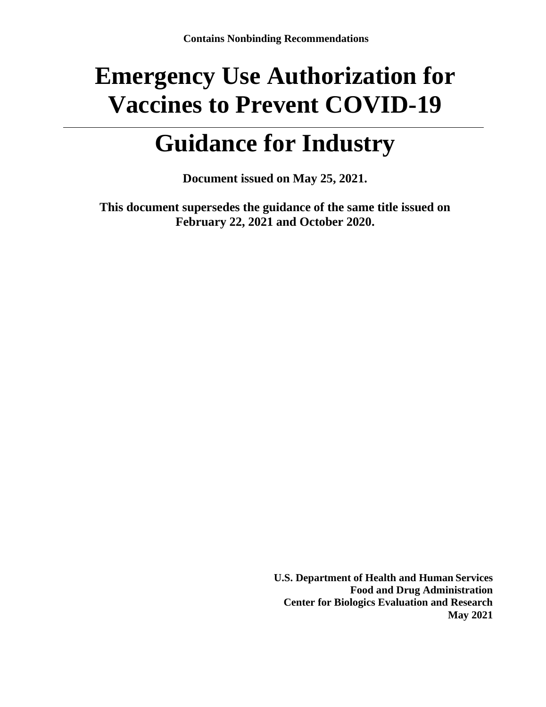# **Emergency Use Authorization for Vaccines to Prevent COVID-19**

## **Guidance for Industry**

**Document issued on May 25, 2021.**

**This document supersedes the guidance of the same title issued on February 22, 2021 and October 2020.**

> **U.S. Department of Health and Human Services Food and Drug Administration Center for Biologics Evaluation and Research May 2021**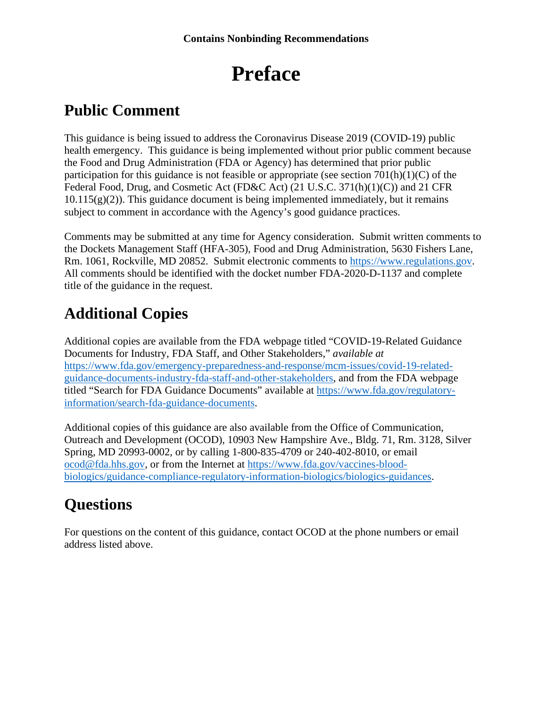## **Preface**

### **Public Comment**

This guidance is being issued to address the Coronavirus Disease 2019 (COVID-19) public health emergency. This guidance is being implemented without prior public comment because the Food and Drug Administration (FDA or Agency) has determined that prior public participation for this guidance is not feasible or appropriate (see section  $701(h)(1)(C)$  of the Federal Food, Drug, and Cosmetic Act (FD&C Act) (21 U.S.C. 371(h)(1)(C)) and 21 CFR  $10.115(g)(2)$ ). This guidance document is being implemented immediately, but it remains subject to comment in accordance with the Agency's good guidance practices.

Comments may be submitted at any time for Agency consideration. Submit written comments to the Dockets Management Staff (HFA-305), Food and Drug Administration, 5630 Fishers Lane, Rm. 1061, Rockville, MD 20852. Submit electronic comments to [https://www.regulations.gov.](https://www.regulations.gov/) All comments should be identified with the docket number FDA-2020-D-1137 and complete title of the guidance in the request.

### **Additional Copies**

Additional copies are available from the FDA webpage titled "COVID-19-Related Guidance Documents for Industry, FDA Staff, and Other Stakeholders," *available at*  [https://www.fda.gov/emergency-preparedness-and-response/mcm-issues/covid-19-related](https://www.fda.gov/emergency-preparedness-and-response/mcm-issues/covid-19-related-guidance-documents-industry-fda-staff-and-other-stakeholders)[guidance-documents-industry-fda-staff-and-other-stakeholders,](https://www.fda.gov/emergency-preparedness-and-response/mcm-issues/covid-19-related-guidance-documents-industry-fda-staff-and-other-stakeholders) and from the FDA webpage titled "Search for FDA Guidance Documents" available at [https://www.fda.gov/regulatory](https://www.fda.gov/regulatory-information/search-fda-guidance-documents)[information/search-fda-guidance-documents.](https://www.fda.gov/regulatory-information/search-fda-guidance-documents)

Additional copies of this guidance are also available from the Office of Communication, Outreach and Development (OCOD), 10903 New Hampshire Ave., Bldg. 71, Rm. 3128, Silver Spring, MD 20993-0002, or by calling 1-800-835-4709 or 240-402-8010, or email [ocod@fda.hhs.gov,](mailto:ocod@fda.hhs.gov) or from the Internet at [https://www.fda.gov/vaccines-blood](https://www.fda.gov/vaccines-blood-biologics/guidance-compliance-regulatory-information-biologics/biologics-guidances)[biologics/guidance-compliance-regulatory-information-biologics/biologics-guidances.](https://www.fda.gov/vaccines-blood-biologics/guidance-compliance-regulatory-information-biologics/biologics-guidances)

### **Questions**

For questions on the content of this guidance, contact OCOD at the phone numbers or email address listed above.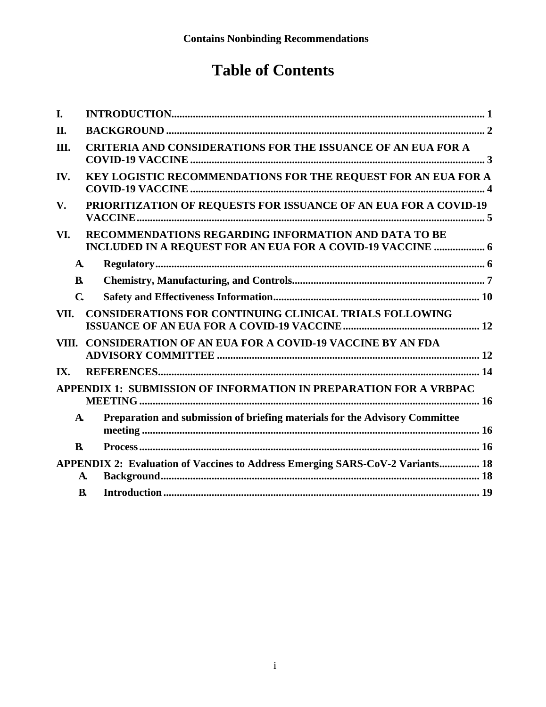### **Table of Contents**

| I.           |                                                                                                                    |
|--------------|--------------------------------------------------------------------------------------------------------------------|
| Π.           |                                                                                                                    |
| III.         | <b>CRITERIA AND CONSIDERATIONS FOR THE ISSUANCE OF AN EUA FOR A</b>                                                |
| IV.          | KEY LOGISTIC RECOMMENDATIONS FOR THE REQUEST FOR AN EUA FOR A                                                      |
| V.           | PRIORITIZATION OF REQUESTS FOR ISSUANCE OF AN EUA FOR A COVID-19                                                   |
| VI.          | RECOMMENDATIONS REGARDING INFORMATION AND DATA TO BE<br>INCLUDED IN A REQUEST FOR AN EUA FOR A COVID-19 VACCINE  6 |
| $\mathbf{A}$ |                                                                                                                    |
| $\bf{B}$     |                                                                                                                    |
| $\mathbf C$  |                                                                                                                    |
| VII.         | <b>CONSIDERATIONS FOR CONTINUING CLINICAL TRIALS FOLLOWING</b>                                                     |
| VIII.        | <b>CONSIDERATION OF AN EUA FOR A COVID-19 VACCINE BY AN FDA</b>                                                    |
| IX.          |                                                                                                                    |
|              | APPENDIX 1: SUBMISSION OF INFORMATION IN PREPARATION FOR A VRBPAC                                                  |
| $\mathbf{A}$ | Preparation and submission of briefing materials for the Advisory Committee                                        |
| $\bf{B}$     |                                                                                                                    |
| A.           | APPENDIX 2: Evaluation of Vaccines to Address Emerging SARS-CoV-2 Variants 18                                      |
| $\mathbf{B}$ |                                                                                                                    |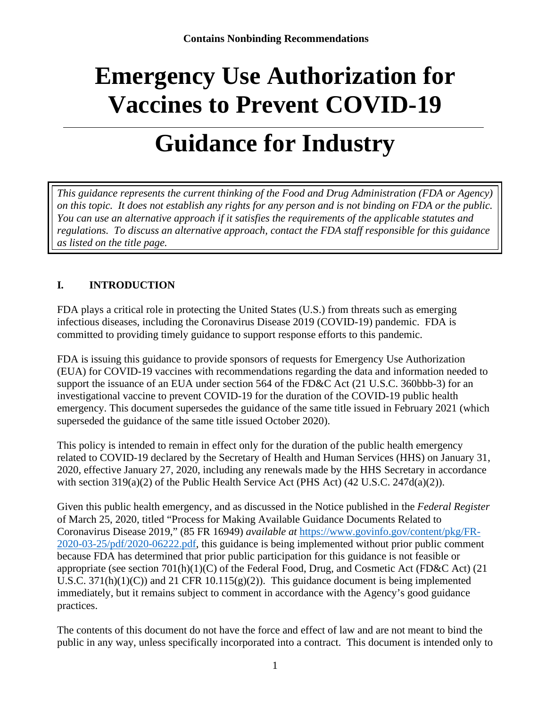# **Emergency Use Authorization for Vaccines to Prevent COVID-19**

## **Guidance for Industry**

*This guidance represents the current thinking of the Food and Drug Administration (FDA or Agency) on this topic. It does not establish any rights for any person and is not binding on FDA or the public. You can use an alternative approach if it satisfies the requirements of the applicable statutes and regulations. To discuss an alternative approach, contact the FDA staff responsible for this guidance as listed on the title page.* 

#### <span id="page-3-0"></span>**I. INTRODUCTION**

FDA plays a critical role in protecting the United States (U.S.) from threats such as emerging infectious diseases, including the Coronavirus Disease 2019 (COVID-19) pandemic. FDA is committed to providing timely guidance to support response efforts to this pandemic.

FDA is issuing this guidance to provide sponsors of requests for Emergency Use Authorization (EUA) for COVID-19 vaccines with recommendations regarding the data and information needed to support the issuance of an EUA under section 564 of the FD&C Act (21 U.S.C. 360bbb-3) for an investigational vaccine to prevent COVID-19 for the duration of the COVID-19 public health emergency. This document supersedes the guidance of the same title issued in February 2021 (which superseded the guidance of the same title issued October 2020).

This policy is intended to remain in effect only for the duration of the public health emergency related to COVID-19 declared by the Secretary of Health and Human Services (HHS) on January 31, 2020, effective January 27, 2020, including any renewals made by the HHS Secretary in accordance with section 319(a)(2) of the Public Health Service Act (PHS Act) (42 U.S.C. 247d(a)(2)).

Given this public health emergency, and as discussed in the Notice published in the *Federal Register* of March 25, 2020, titled "Process for Making Available Guidance Documents Related to Coronavirus Disease 2019," (85 FR 16949) *available at* [https://www.govinfo.gov/content/pkg/FR-](https://www.govinfo.gov/content/pkg/FR-2020-03-25/pdf/2020-06222.pdf)[2020-03-25/pdf/2020-06222.pdf,](https://www.govinfo.gov/content/pkg/FR-2020-03-25/pdf/2020-06222.pdf) this guidance is being implemented without prior public comment because FDA has determined that prior public participation for this guidance is not feasible or appropriate (see section 701(h)(1)(C) of the Federal Food, Drug, and Cosmetic Act (FD&C Act) (21 U.S.C.  $371(h)(1)(C)$  and  $21$  CFR  $10.115(g)(2)$ . This guidance document is being implemented immediately, but it remains subject to comment in accordance with the Agency's good guidance practices.

The contents of this document do not have the force and effect of law and are not meant to bind the public in any way, unless specifically incorporated into a contract. This document is intended only to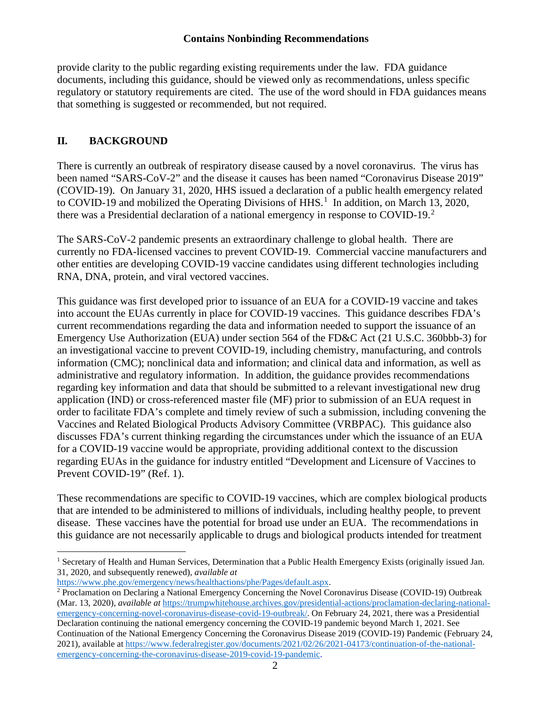provide clarity to the public regarding existing requirements under the law. FDA guidance documents, including this guidance, should be viewed only as recommendations, unless specific regulatory or statutory requirements are cited. The use of the word should in FDA guidances means that something is suggested or recommended, but not required.

#### <span id="page-4-0"></span>**II. BACKGROUND**

There is currently an outbreak of respiratory disease caused by a novel coronavirus. The virus has been named "SARS-CoV-2" and the disease it causes has been named "Coronavirus Disease 2019" (COVID-19). On January 31, 2020, HHS issued a declaration of a public health emergency related to COVID-[1](#page-4-1)9 and mobilized the Operating Divisions of  $HHS<sup>1</sup>$  In addition, on March 13, 2020, there was a Presidential declaration of a national emergency in response to COVID-19.<sup>[2](#page-4-2)</sup>

The SARS-CoV-2 pandemic presents an extraordinary challenge to global health. There are currently no FDA-licensed vaccines to prevent COVID-19. Commercial vaccine manufacturers and other entities are developing COVID-19 vaccine candidates using different technologies including RNA, DNA, protein, and viral vectored vaccines.

This guidance was first developed prior to issuance of an EUA for a COVID-19 vaccine and takes into account the EUAs currently in place for COVID-19 vaccines. This guidance describes FDA's current recommendations regarding the data and information needed to support the issuance of an Emergency Use Authorization (EUA) under section 564 of the FD&C Act (21 U.S.C. 360bbb-3) for an investigational vaccine to prevent COVID-19, including chemistry, manufacturing, and controls information (CMC); nonclinical data and information; and clinical data and information, as well as administrative and regulatory information. In addition, the guidance provides recommendations regarding key information and data that should be submitted to a relevant investigational new drug application (IND) or cross-referenced master file (MF) prior to submission of an EUA request in order to facilitate FDA's complete and timely review of such a submission, including convening the Vaccines and Related Biological Products Advisory Committee (VRBPAC). This guidance also discusses FDA's current thinking regarding the circumstances under which the issuance of an EUA for a COVID-19 vaccine would be appropriate, providing additional context to the discussion regarding EUAs in the guidance for industry entitled "Development and Licensure of Vaccines to Prevent COVID-19" (Ref. 1).

These recommendations are specific to COVID-19 vaccines, which are complex biological products that are intended to be administered to millions of individuals, including healthy people, to prevent disease. These vaccines have the potential for broad use under an EUA. The recommendations in this guidance are not necessarily applicable to drugs and biological products intended for treatment

<span id="page-4-1"></span><sup>&</sup>lt;sup>1</sup> Secretary of Health and Human Services, Determination that a Public Health Emergency Exists (originally issued Jan. 31, 2020, and subsequently renewed), *available at*

<span id="page-4-2"></span><sup>&</sup>lt;sup>2</sup> Proclamation on Declaring a National Emergency Concerning the Novel Coronavirus Disease (COVID-19) Outbreak (Mar. 13, 2020), *available at* [https://trumpwhitehouse.archives.gov/presidential-actions/proclamation-declaring-national](https://trumpwhitehouse.archives.gov/presidential-actions/proclamation-declaring-national-emergency-concerning-novel-coronavirus-disease-covid-19-outbreak/)[emergency-concerning-novel-coronavirus-disease-covid-19-outbreak/.](https://trumpwhitehouse.archives.gov/presidential-actions/proclamation-declaring-national-emergency-concerning-novel-coronavirus-disease-covid-19-outbreak/) On February 24, 2021, there was a Presidential Declaration continuing the national emergency concerning the COVID-19 pandemic beyond March 1, 2021. See Continuation of the National Emergency Concerning the Coronavirus Disease 2019 (COVID-19) Pandemic (February 24, 2021), available a[t https://www.federalregister.gov/documents/2021/02/26/2021-04173/continuation-of-the-national](https://www.federalregister.gov/documents/2021/02/26/2021-04173/continuation-of-the-national-emergency-concerning-the-coronavirus-disease-2019-covid-19-pandemic)[emergency-concerning-the-coronavirus-disease-2019-covid-19-pandemic.](https://www.federalregister.gov/documents/2021/02/26/2021-04173/continuation-of-the-national-emergency-concerning-the-coronavirus-disease-2019-covid-19-pandemic)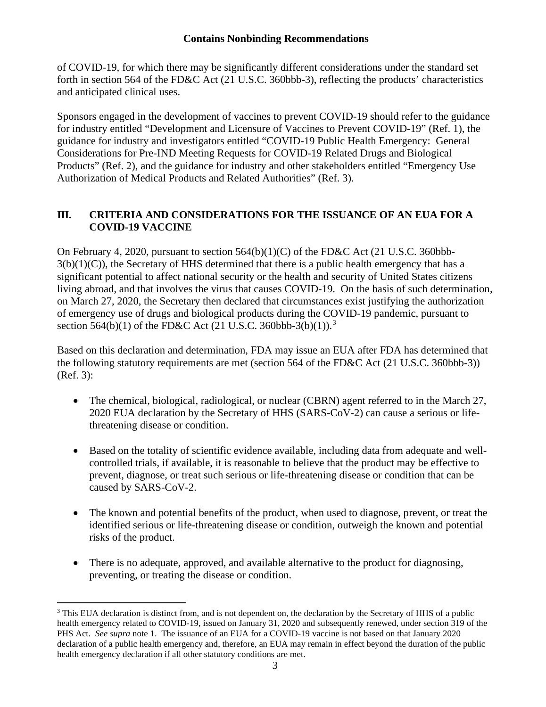of COVID-19, for which there may be significantly different considerations under the standard set forth in section 564 of the FD&C Act (21 U.S.C. 360bbb-3), reflecting the products' characteristics and anticipated clinical uses.

Sponsors engaged in the development of vaccines to prevent COVID-19 should refer to the guidance for industry entitled "Development and Licensure of Vaccines to Prevent COVID-19" (Ref. 1), the guidance for industry and investigators entitled "COVID-19 Public Health Emergency: General Considerations for Pre-IND Meeting Requests for COVID-19 Related Drugs and Biological Products" (Ref. 2), and the guidance for industry and other stakeholders entitled "Emergency Use Authorization of Medical Products and Related Authorities" (Ref. 3).

#### <span id="page-5-0"></span>**III. CRITERIA AND CONSIDERATIONS FOR THE ISSUANCE OF AN EUA FOR A COVID-19 VACCINE**

On February 4, 2020, pursuant to section 564(b)(1)(C) of the FD&C Act (21 U.S.C. 360bbb- $3(b)(1)(C)$ , the Secretary of HHS determined that there is a public health emergency that has a significant potential to affect national security or the health and security of United States citizens living abroad, and that involves the virus that causes COVID-19. On the basis of such determination, on March 27, 2020, the Secretary then declared that circumstances exist justifying the authorization of emergency use of drugs and biological products during the COVID-19 pandemic, pursuant to section 564(b)(1) of the FD&C Act (21 U.S.C. [3](#page-5-1)60bbb-3(b)(1)).<sup>3</sup>

Based on this declaration and determination, FDA may issue an EUA after FDA has determined that the following statutory requirements are met (section 564 of the FD&C Act (21 U.S.C. 360bbb-3)) (Ref. 3):

- The chemical, biological, radiological, or nuclear (CBRN) agent referred to in the March 27, 2020 EUA declaration by the Secretary of HHS (SARS-CoV-2) can cause a serious or lifethreatening disease or condition.
- Based on the totality of scientific evidence available, including data from adequate and wellcontrolled trials, if available, it is reasonable to believe that the product may be effective to prevent, diagnose, or treat such serious or life-threatening disease or condition that can be caused by SARS-CoV-2.
- The known and potential benefits of the product, when used to diagnose, prevent, or treat the identified serious or life-threatening disease or condition, outweigh the known and potential risks of the product.
- There is no adequate, approved, and available alternative to the product for diagnosing, preventing, or treating the disease or condition.

<span id="page-5-1"></span><sup>&</sup>lt;sup>3</sup> This EUA declaration is distinct from, and is not dependent on, the declaration by the Secretary of HHS of a public health emergency related to COVID-19, issued on January 31, 2020 and subsequently renewed, under section 319 of the PHS Act. *See supra* note 1. The issuance of an EUA for a COVID-19 vaccine is not based on that January 2020 declaration of a public health emergency and, therefore, an EUA may remain in effect beyond the duration of the public health emergency declaration if all other statutory conditions are met.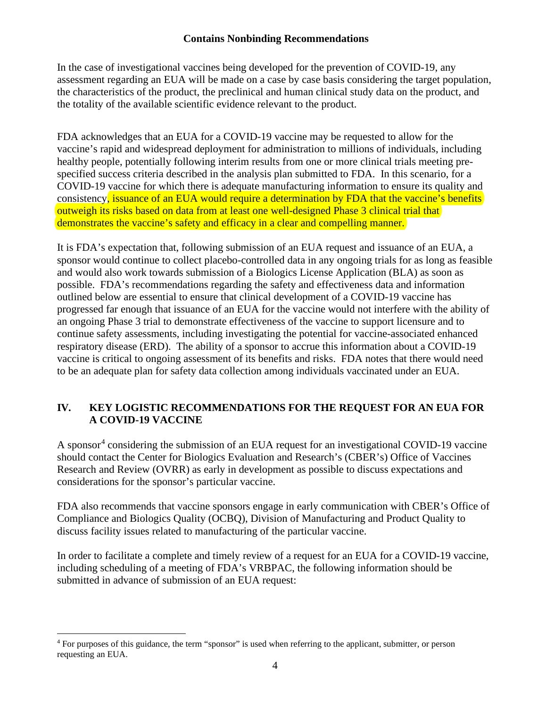In the case of investigational vaccines being developed for the prevention of COVID-19, any assessment regarding an EUA will be made on a case by case basis considering the target population, the characteristics of the product, the preclinical and human clinical study data on the product, and the totality of the available scientific evidence relevant to the product.

FDA acknowledges that an EUA for a COVID-19 vaccine may be requested to allow for the vaccine's rapid and widespread deployment for administration to millions of individuals, including healthy people, potentially following interim results from one or more clinical trials meeting prespecified success criteria described in the analysis plan submitted to FDA. In this scenario, for a COVID-19 vaccine for which there is adequate manufacturing information to ensure its quality and consistency, issuance of an EUA would require a determination by FDA that the vaccine's benefits outweigh its risks based on data from at least one well-designed Phase 3 clinical trial that demonstrates the vaccine's safety and efficacy in a clear and compelling manner.

It is FDA's expectation that, following submission of an EUA request and issuance of an EUA, a sponsor would continue to collect placebo-controlled data in any ongoing trials for as long as feasible and would also work towards submission of a Biologics License Application (BLA) as soon as possible. FDA's recommendations regarding the safety and effectiveness data and information outlined below are essential to ensure that clinical development of a COVID-19 vaccine has progressed far enough that issuance of an EUA for the vaccine would not interfere with the ability of an ongoing Phase 3 trial to demonstrate effectiveness of the vaccine to support licensure and to continue safety assessments, including investigating the potential for vaccine-associated enhanced respiratory disease (ERD). The ability of a sponsor to accrue this information about a COVID-19 vaccine is critical to ongoing assessment of its benefits and risks. FDA notes that there would need to be an adequate plan for safety data collection among individuals vaccinated under an EUA.

#### <span id="page-6-0"></span>**IV. KEY LOGISTIC RECOMMENDATIONS FOR THE REQUEST FOR AN EUA FOR A COVID-19 VACCINE**

A sponsor<sup>[4](#page-6-1)</sup> considering the submission of an EUA request for an investigational COVID-19 vaccine should contact the Center for Biologics Evaluation and Research's (CBER's) Office of Vaccines Research and Review (OVRR) as early in development as possible to discuss expectations and considerations for the sponsor's particular vaccine.

FDA also recommends that vaccine sponsors engage in early communication with CBER's Office of Compliance and Biologics Quality (OCBQ), Division of Manufacturing and Product Quality to discuss facility issues related to manufacturing of the particular vaccine.

In order to facilitate a complete and timely review of a request for an EUA for a COVID-19 vaccine, including scheduling of a meeting of FDA's VRBPAC, the following information should be submitted in advance of submission of an EUA request:

<span id="page-6-1"></span><sup>4</sup> For purposes of this guidance, the term "sponsor" is used when referring to the applicant, submitter, or person requesting an EUA.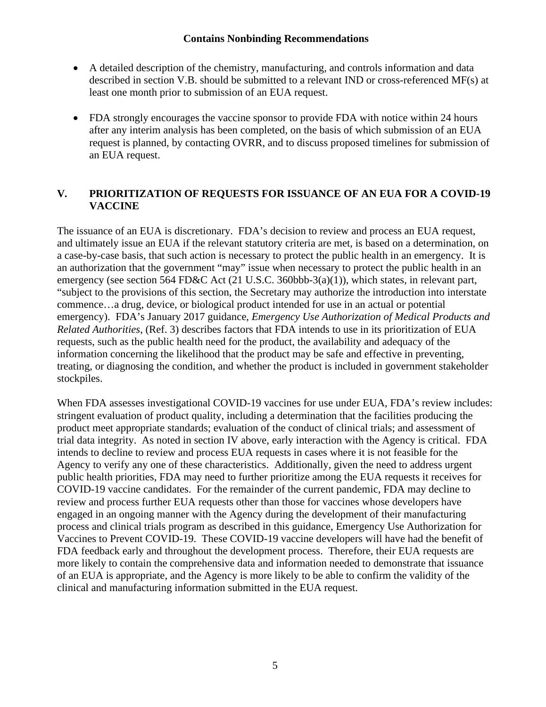- A detailed description of the chemistry, manufacturing, and controls information and data described in section V.B. should be submitted to a relevant IND or cross-referenced MF(s) at least one month prior to submission of an EUA request.
- FDA strongly encourages the vaccine sponsor to provide FDA with notice within 24 hours after any interim analysis has been completed, on the basis of which submission of an EUA request is planned, by contacting OVRR, and to discuss proposed timelines for submission of an EUA request.

#### <span id="page-7-0"></span>**V. PRIORITIZATION OF REQUESTS FOR ISSUANCE OF AN EUA FOR A COVID-19 VACCINE**

The issuance of an EUA is discretionary. FDA's decision to review and process an EUA request, and ultimately issue an EUA if the relevant statutory criteria are met, is based on a determination, on a case-by-case basis, that such action is necessary to protect the public health in an emergency. It is an authorization that the government "may" issue when necessary to protect the public health in an emergency (see section 564 FD&C Act (21 U.S.C. 360bbb-3(a)(1)), which states, in relevant part, "subject to the provisions of this section, the Secretary may authorize the introduction into interstate commence…a drug, device, or biological product intended for use in an actual or potential emergency). FDA's January 2017 guidance, *Emergency Use Authorization of Medical Products and Related Authorities*, (Ref. 3) describes factors that FDA intends to use in its prioritization of EUA requests, such as the public health need for the product, the availability and adequacy of the information concerning the likelihood that the product may be safe and effective in preventing, treating, or diagnosing the condition, and whether the product is included in government stakeholder stockpiles.

When FDA assesses investigational COVID-19 vaccines for use under EUA, FDA's review includes: stringent evaluation of product quality, including a determination that the facilities producing the product meet appropriate standards; evaluation of the conduct of clinical trials; and assessment of trial data integrity. As noted in section IV above, early interaction with the Agency is critical. FDA intends to decline to review and process EUA requests in cases where it is not feasible for the Agency to verify any one of these characteristics. Additionally, given the need to address urgent public health priorities, FDA may need to further prioritize among the EUA requests it receives for COVID-19 vaccine candidates. For the remainder of the current pandemic, FDA may decline to review and process further EUA requests other than those for vaccines whose developers have engaged in an ongoing manner with the Agency during the development of their manufacturing process and clinical trials program as described in this guidance, Emergency Use Authorization for Vaccines to Prevent COVID-19. These COVID-19 vaccine developers will have had the benefit of FDA feedback early and throughout the development process. Therefore, their EUA requests are more likely to contain the comprehensive data and information needed to demonstrate that issuance of an EUA is appropriate, and the Agency is more likely to be able to confirm the validity of the clinical and manufacturing information submitted in the EUA request.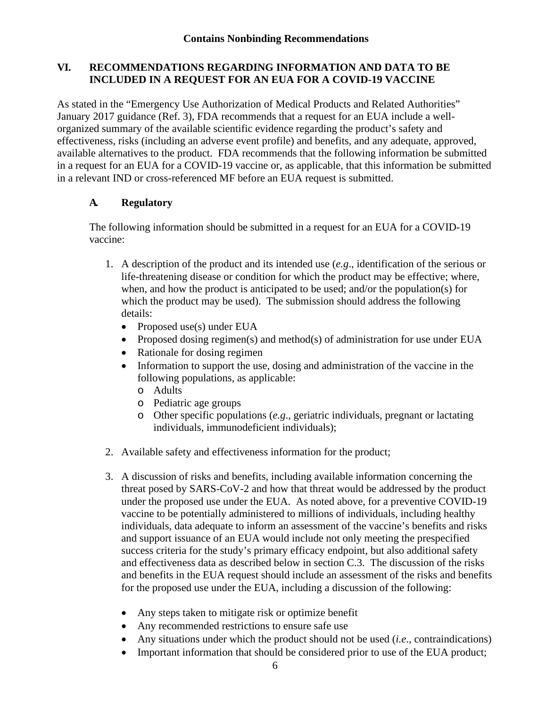#### <span id="page-8-0"></span>**VI. RECOMMENDATIONS REGARDING INFORMATION AND DATA TO BE INCLUDED IN A REQUEST FOR AN EUA FOR A COVID-19 VACCINE**

As stated in the ["Emergency Use Authorization of Medical Products and Related Authorities"](https://www.fda.gov/media/97321/download)  [January 2017 guidance](https://www.fda.gov/media/97321/download) (Ref. 3), FDA recommends that a request for an EUA include a wellorganized summary of the available scientific evidence regarding the product's safety and effectiveness, risks (including an adverse event profile) and benefits, and any adequate, approved, available alternatives to the product. FDA recommends that the following information be submitted in a request for an EUA for a COVID-19 vaccine or, as applicable, that this information be submitted in a relevant IND or cross-referenced MF before an EUA request is submitted.

#### <span id="page-8-1"></span>**A. Regulatory**

The following information should be submitted in a request for an EUA for a COVID-19 vaccine:

- 1. A description of the product and its intended use (*e.g*., identification of the serious or life-threatening disease or condition for which the product may be effective; where, when, and how the product is anticipated to be used; and/or the population(s) for which the product may be used). The submission should address the following details:
	- Proposed use(s) under EUA
	- Proposed dosing regimen(s) and method(s) of administration for use under EUA
	- Rationale for dosing regimen
	- Information to support the use, dosing and administration of the vaccine in the following populations, as applicable:
		- o Adults
		- o Pediatric age groups
		- o Other specific populations (*e.g*., geriatric individuals, pregnant or lactating individuals, immunodeficient individuals);
- 2. Available safety and effectiveness information for the product;
- 3. A discussion of risks and benefits, including available information concerning the threat posed by SARS-CoV-2 and how that threat would be addressed by the product under the proposed use under the EUA. As noted above, for a preventive COVID-19 vaccine to be potentially administered to millions of individuals, including healthy individuals, data adequate to inform an assessment of the vaccine's benefits and risks and support issuance of an EUA would include not only meeting the prespecified success criteria for the study's primary efficacy endpoint, but also additional safety and effectiveness data as described below in section C.3. The discussion of the risks and benefits in the EUA request should include an assessment of the risks and benefits for the proposed use under the EUA, including a discussion of the following:
	- Any steps taken to mitigate risk or optimize benefit
	- Any recommended restrictions to ensure safe use
	- Any situations under which the product should not be used *(i.e., contraindications)*
	- Important information that should be considered prior to use of the EUA product;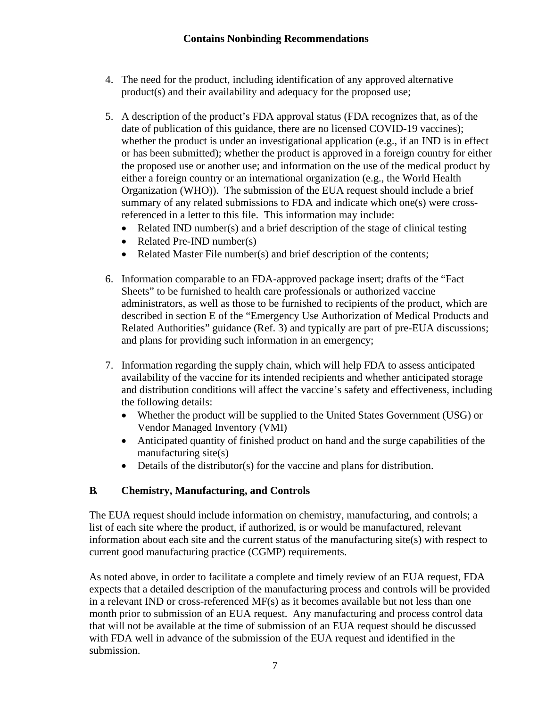- 4. The need for the product, including identification of any approved alternative product(s) and their availability and adequacy for the proposed use;
- 5. A description of the product's FDA approval status (FDA recognizes that, as of the date of publication of this guidance, there are no licensed COVID-19 vaccines); whether the product is under an investigational application (e.g., if an IND is in effect or has been submitted); whether the product is approved in a foreign country for either the proposed use or another use; and information on the use of the medical product by either a foreign country or an international organization (e.g., the World Health Organization (WHO)). The submission of the EUA request should include a brief summary of any related submissions to FDA and indicate which one(s) were crossreferenced in a letter to this file. This information may include:
	- Related IND number(s) and a brief description of the stage of clinical testing
	- Related Pre-IND number(s)
	- Related Master File number(s) and brief description of the contents;
- 6. Information comparable to an FDA-approved package insert; drafts of the "Fact Sheets" to be furnished to health care professionals or authorized vaccine administrators, as well as those to be furnished to recipients of the product, which are described in section E of the "Emergency Use Authorization of Medical Products and Related Authorities" guidance (Ref. 3) and typically are part of pre-EUA discussions; and plans for providing such information in an emergency;
- 7. Information regarding the supply chain, which will help FDA to assess anticipated availability of the vaccine for its intended recipients and whether anticipated storage and distribution conditions will affect the vaccine's safety and effectiveness, including the following details:
	- Whether the product will be supplied to the United States Government (USG) or Vendor Managed Inventory (VMI)
	- Anticipated quantity of finished product on hand and the surge capabilities of the manufacturing site(s)
	- Details of the distributor(s) for the vaccine and plans for distribution.

#### <span id="page-9-0"></span>**B. Chemistry, Manufacturing, and Controls**

The EUA request should include information on chemistry, manufacturing, and controls; a list of each site where the product, if authorized, is or would be manufactured, relevant information about each site and the current status of the manufacturing site(s) with respect to current good manufacturing practice (CGMP) requirements.

As noted above, in order to facilitate a complete and timely review of an EUA request, FDA expects that a detailed description of the manufacturing process and controls will be provided in a relevant IND or cross-referenced MF(s) as it becomes available but not less than one month prior to submission of an EUA request. Any manufacturing and process control data that will not be available at the time of submission of an EUA request should be discussed with FDA well in advance of the submission of the EUA request and identified in the submission.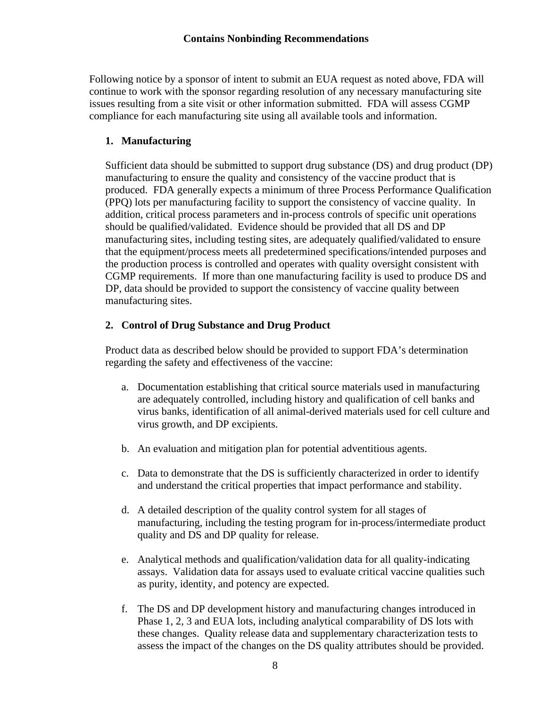Following notice by a sponsor of intent to submit an EUA request as noted above, FDA will continue to work with the sponsor regarding resolution of any necessary manufacturing site issues resulting from a site visit or other information submitted. FDA will assess CGMP compliance for each manufacturing site using all available tools and information.

#### **1. Manufacturing**

Sufficient data should be submitted to support drug substance (DS) and drug product (DP) manufacturing to ensure the quality and consistency of the vaccine product that is produced. FDA generally expects a minimum of three Process Performance Qualification (PPQ) lots per manufacturing facility to support the consistency of vaccine quality. In addition, critical process parameters and in-process controls of specific unit operations should be qualified/validated. Evidence should be provided that all DS and DP manufacturing sites, including testing sites, are adequately qualified/validated to ensure that the equipment/process meets all predetermined specifications/intended purposes and the production process is controlled and operates with quality oversight consistent with CGMP requirements. If more than one manufacturing facility is used to produce DS and DP, data should be provided to support the consistency of vaccine quality between manufacturing sites.

#### **2. Control of Drug Substance and Drug Product**

Product data as described below should be provided to support FDA's determination regarding the safety and effectiveness of the vaccine:

- a. Documentation establishing that critical source materials used in manufacturing are adequately controlled, including history and qualification of cell banks and virus banks, identification of all animal-derived materials used for cell culture and virus growth, and DP excipients.
- b. An evaluation and mitigation plan for potential adventitious agents.
- c. Data to demonstrate that the DS is sufficiently characterized in order to identify and understand the critical properties that impact performance and stability.
- d. A detailed description of the quality control system for all stages of manufacturing, including the testing program for in-process/intermediate product quality and DS and DP quality for release.
- e. Analytical methods and qualification/validation data for all quality-indicating assays. Validation data for assays used to evaluate critical vaccine qualities such as purity, identity, and potency are expected.
- f. The DS and DP development history and manufacturing changes introduced in Phase 1, 2, 3 and EUA lots, including analytical comparability of DS lots with these changes. Quality release data and supplementary characterization tests to assess the impact of the changes on the DS quality attributes should be provided.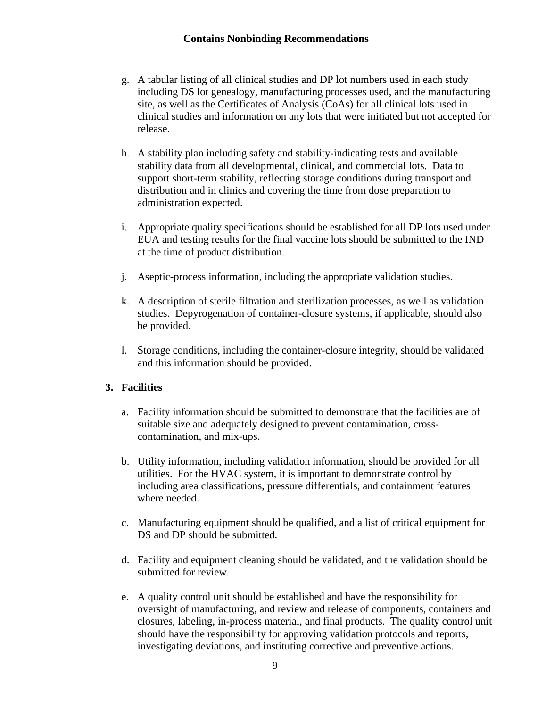- g. A tabular listing of all clinical studies and DP lot numbers used in each study including DS lot genealogy, manufacturing processes used, and the manufacturing site, as well as the Certificates of Analysis (CoAs) for all clinical lots used in clinical studies and information on any lots that were initiated but not accepted for release.
- h. A stability plan including safety and stability-indicating tests and available stability data from all developmental, clinical, and commercial lots. Data to support short-term stability, reflecting storage conditions during transport and distribution and in clinics and covering the time from dose preparation to administration expected.
- i. Appropriate quality specifications should be established for all DP lots used under EUA and testing results for the final vaccine lots should be submitted to the IND at the time of product distribution.
- j. Aseptic-process information, including the appropriate validation studies.
- k. A description of sterile filtration and sterilization processes, as well as validation studies. Depyrogenation of container-closure systems, if applicable, should also be provided.
- l. Storage conditions, including the container-closure integrity, should be validated and this information should be provided.

#### **3. Facilities**

- a. Facility information should be submitted to demonstrate that the facilities are of suitable size and adequately designed to prevent contamination, crosscontamination, and mix-ups.
- b. Utility information, including validation information, should be provided for all utilities. For the HVAC system, it is important to demonstrate control by including area classifications, pressure differentials, and containment features where needed.
- c. Manufacturing equipment should be qualified, and a list of critical equipment for DS and DP should be submitted.
- d. Facility and equipment cleaning should be validated, and the validation should be submitted for review.
- e. A quality control unit should be established and have the responsibility for oversight of manufacturing, and review and release of components, containers and closures, labeling, in-process material, and final products. The quality control unit should have the responsibility for approving validation protocols and reports, investigating deviations, and instituting corrective and preventive actions.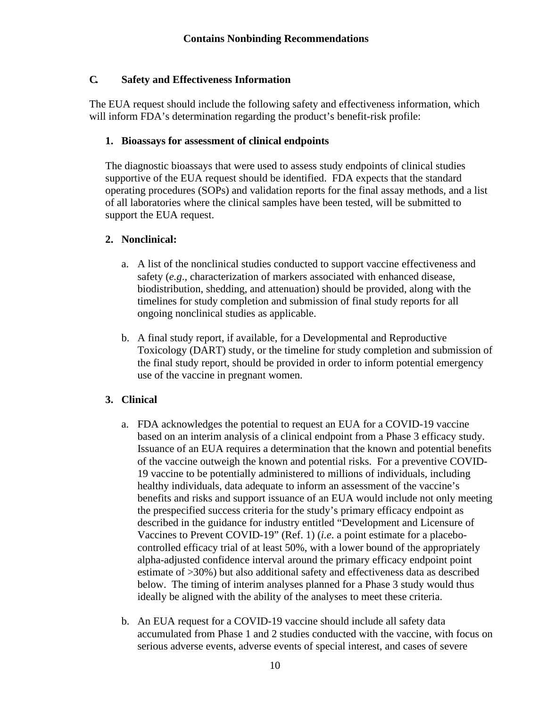#### <span id="page-12-0"></span>**C. Safety and Effectiveness Information**

The EUA request should include the following safety and effectiveness information, which will inform FDA's determination regarding the product's benefit-risk profile:

#### **1. Bioassays for assessment of clinical endpoints**

The diagnostic bioassays that were used to assess study endpoints of clinical studies supportive of the EUA request should be identified. FDA expects that the standard operating procedures (SOPs) and validation reports for the final assay methods, and a list of all laboratories where the clinical samples have been tested, will be submitted to support the EUA request.

#### **2. Nonclinical:**

- a. A list of the nonclinical studies conducted to support vaccine effectiveness and safety (*e.g*., characterization of markers associated with enhanced disease, biodistribution, shedding, and attenuation) should be provided, along with the timelines for study completion and submission of final study reports for all ongoing nonclinical studies as applicable.
- b. A final study report, if available, for a Developmental and Reproductive Toxicology (DART) study, or the timeline for study completion and submission of the final study report, should be provided in order to inform potential emergency use of the vaccine in pregnant women.

#### **3. Clinical**

- a. FDA acknowledges the potential to request an EUA for a COVID-19 vaccine based on an interim analysis of a clinical endpoint from a Phase 3 efficacy study. Issuance of an EUA requires a determination that the known and potential benefits of the vaccine outweigh the known and potential risks. For a preventive COVID-19 vaccine to be potentially administered to millions of individuals, including healthy individuals, data adequate to inform an assessment of the vaccine's benefits and risks and support issuance of an EUA would include not only meeting the prespecified success criteria for the study's primary efficacy endpoint as described in the guidance for industry entitled "Development and Licensure of Vaccines to Prevent COVID-19" (Ref. 1) (*i.e*. a point estimate for a placebocontrolled efficacy trial of at least 50%, with a lower bound of the appropriately alpha-adjusted confidence interval around the primary efficacy endpoint point estimate of >30%) but also additional safety and effectiveness data as described below. The timing of interim analyses planned for a Phase 3 study would thus ideally be aligned with the ability of the analyses to meet these criteria.
- b. An EUA request for a COVID-19 vaccine should include all safety data accumulated from Phase 1 and 2 studies conducted with the vaccine, with focus on serious adverse events, adverse events of special interest, and cases of severe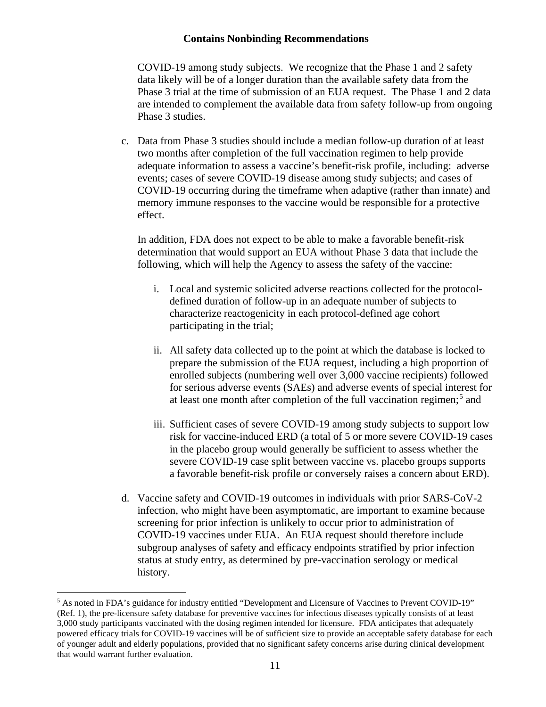COVID-19 among study subjects. We recognize that the Phase 1 and 2 safety data likely will be of a longer duration than the available safety data from the Phase 3 trial at the time of submission of an EUA request. The Phase 1 and 2 data are intended to complement the available data from safety follow-up from ongoing Phase 3 studies.

c. Data from Phase 3 studies should include a median follow-up duration of at least two months after completion of the full vaccination regimen to help provide adequate information to assess a vaccine's benefit-risk profile, including: adverse events; cases of severe COVID-19 disease among study subjects; and cases of COVID-19 occurring during the timeframe when adaptive (rather than innate) and memory immune responses to the vaccine would be responsible for a protective effect.

In addition, FDA does not expect to be able to make a favorable benefit-risk determination that would support an EUA without Phase 3 data that include the following, which will help the Agency to assess the safety of the vaccine:

- i. Local and systemic solicited adverse reactions collected for the protocoldefined duration of follow-up in an adequate number of subjects to characterize reactogenicity in each protocol-defined age cohort participating in the trial;
- ii. All safety data collected up to the point at which the database is locked to prepare the submission of the EUA request, including a high proportion of enrolled subjects (numbering well over 3,000 vaccine recipients) followed for serious adverse events (SAEs) and adverse events of special interest for at least one month after completion of the full vaccination regimen;[5](#page-13-0) and
- iii. Sufficient cases of severe COVID-19 among study subjects to support low risk for vaccine-induced ERD (a total of 5 or more severe COVID-19 cases in the placebo group would generally be sufficient to assess whether the severe COVID-19 case split between vaccine vs. placebo groups supports a favorable benefit-risk profile or conversely raises a concern about ERD).
- d. Vaccine safety and COVID-19 outcomes in individuals with prior SARS-CoV-2 infection, who might have been asymptomatic, are important to examine because screening for prior infection is unlikely to occur prior to administration of COVID-19 vaccines under EUA. An EUA request should therefore include subgroup analyses of safety and efficacy endpoints stratified by prior infection status at study entry, as determined by pre-vaccination serology or medical history.

<span id="page-13-0"></span><sup>&</sup>lt;sup>5</sup> As noted in FDA's guidance for industry entitled "Development and Licensure of Vaccines to Prevent COVID-19" (Ref. 1), the pre-licensure safety database for preventive vaccines for infectious diseases typically consists of at least 3,000 study participants vaccinated with the dosing regimen intended for licensure. FDA anticipates that adequately powered efficacy trials for COVID-19 vaccines will be of sufficient size to provide an acceptable safety database for each of younger adult and elderly populations, provided that no significant safety concerns arise during clinical development that would warrant further evaluation.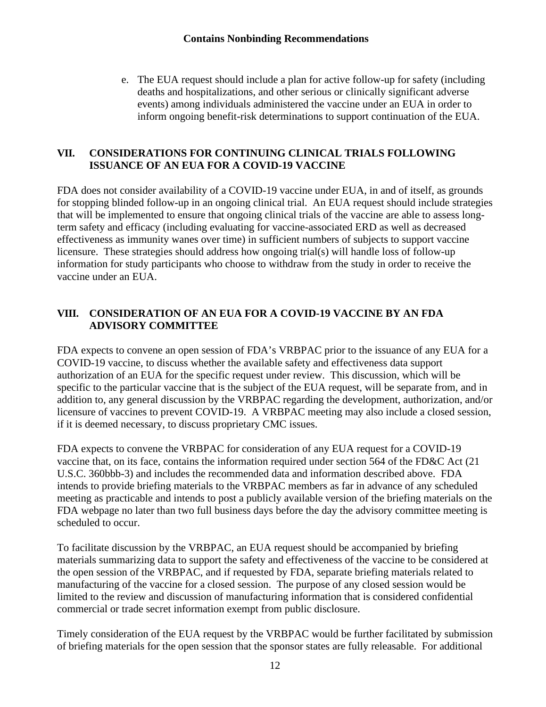e. The EUA request should include a plan for active follow-up for safety (including deaths and hospitalizations, and other serious or clinically significant adverse events) among individuals administered the vaccine under an EUA in order to inform ongoing benefit-risk determinations to support continuation of the EUA.

#### <span id="page-14-0"></span>**VII. CONSIDERATIONS FOR CONTINUING CLINICAL TRIALS FOLLOWING ISSUANCE OF AN EUA FOR A COVID-19 VACCINE**

FDA does not consider availability of a COVID-19 vaccine under EUA, in and of itself, as grounds for stopping blinded follow-up in an ongoing clinical trial. An EUA request should include strategies that will be implemented to ensure that ongoing clinical trials of the vaccine are able to assess longterm safety and efficacy (including evaluating for vaccine-associated ERD as well as decreased effectiveness as immunity wanes over time) in sufficient numbers of subjects to support vaccine licensure. These strategies should address how ongoing trial(s) will handle loss of follow-up information for study participants who choose to withdraw from the study in order to receive the vaccine under an EUA.

#### <span id="page-14-1"></span>**VIII. CONSIDERATION OF AN EUA FOR A COVID-19 VACCINE BY AN FDA ADVISORY COMMITTEE**

FDA expects to convene an open session of FDA's VRBPAC prior to the issuance of any EUA for a COVID-19 vaccine, to discuss whether the available safety and effectiveness data support authorization of an EUA for the specific request under review. This discussion, which will be specific to the particular vaccine that is the subject of the EUA request, will be separate from, and in addition to, any general discussion by the VRBPAC regarding the development, authorization, and/or licensure of vaccines to prevent COVID-19. A VRBPAC meeting may also include a closed session, if it is deemed necessary, to discuss proprietary CMC issues.

FDA expects to convene the VRBPAC for consideration of any EUA request for a COVID-19 vaccine that, on its face, contains the information required under section 564 of the FD&C Act (21 U.S.C. 360bbb-3) and includes the recommended data and information described above. FDA intends to provide briefing materials to the VRBPAC members as far in advance of any scheduled meeting as practicable and intends to post a publicly available version of the briefing materials on the FDA webpage no later than two full business days before the day the advisory committee meeting is scheduled to occur.

To facilitate discussion by the VRBPAC, an EUA request should be accompanied by briefing materials summarizing data to support the safety and effectiveness of the vaccine to be considered at the open session of the VRBPAC, and if requested by FDA, separate briefing materials related to manufacturing of the vaccine for a closed session. The purpose of any closed session would be limited to the review and discussion of manufacturing information that is considered confidential commercial or trade secret information exempt from public disclosure.

Timely consideration of the EUA request by the VRBPAC would be further facilitated by submission of briefing materials for the open session that the sponsor states are fully releasable. For additional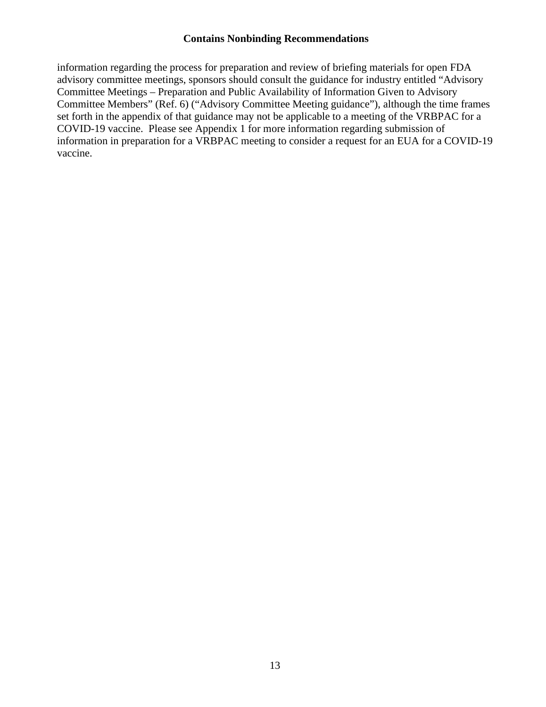information regarding the process for preparation and review of briefing materials for open FDA advisory committee meetings, sponsors should consult the guidance for industry entitled "Advisory Committee Meetings – Preparation and Public Availability of Information Given to Advisory Committee Members" (Ref. 6) ("Advisory Committee Meeting guidance"), although the time frames set forth in the appendix of that guidance may not be applicable to a meeting of the VRBPAC for a COVID-19 vaccine. Please see Appendix 1 for more information regarding submission of information in preparation for a VRBPAC meeting to consider a request for an EUA for a COVID-19 vaccine.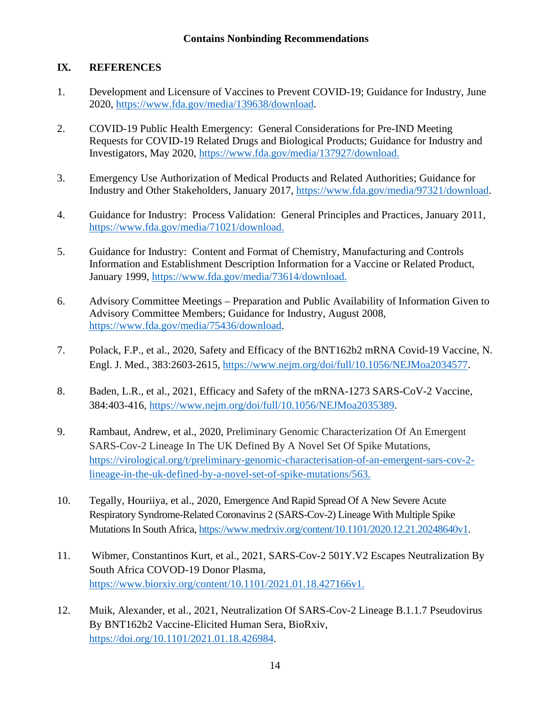#### <span id="page-16-0"></span>**IX. REFERENCES**

- 1. Development and Licensure of Vaccines to Prevent COVID-19; Guidance for Industry, June 2020, [https://www.fda.gov/media/139638/download.](https://www.fda.gov/media/139638/download)
- 2. COVID-19 Public Health Emergency: General Considerations for Pre-IND Meeting Requests for COVID-19 Related Drugs and Biological Products; Guidance for Industry and Investigators, May 2020, [https://www.fda.gov/media/137927/download.](https://www.fda.gov/media/137927/download)
- 3. Emergency Use Authorization of Medical Products and Related Authorities; Guidance for Industry and Other Stakeholders, January 2017, [https://www.fda.gov/media/97321/download.](https://www.fda.gov/media/97321/download)
- 4. Guidance for Industry: Process Validation: General Principles and Practices, January 2011, [https://www.fda.gov/media/71021/download.](https://www.fda.gov/media/71021/download)
- 5. Guidance for Industry: Content and Format of Chemistry, Manufacturing and Controls Information and Establishment Description Information for a Vaccine or Related Product, January 1999, [https://www.fda.gov/media/73614/download.](https://www.fda.gov/media/73614/download)
- 6. Advisory Committee Meetings Preparation and Public Availability of Information Given to Advisory Committee Members; Guidance for Industry, August 2008, [https://www.fda.gov/media/75436/download.](https://www.fda.gov/media/75436/download)
- 7. Polack, F.P., et al., 2020, Safety and Efficacy of the BNT162b2 mRNA Covid-19 Vaccine, N. Engl. J. Med., 383:2603-2615, [https://www.nejm.org/doi/full/10.1056/NEJMoa2034577.](https://www.nejm.org/doi/full/10.1056/NEJMoa2034577)
- 8. Baden, L.R., et al., 2021, Efficacy and Safety of the mRNA-1273 SARS-CoV-2 Vaccine, 384:403-416, [https://www.nejm.org/doi/full/10.1056/NEJMoa2035389.](https://www.nejm.org/doi/full/10.1056/NEJMoa2035389)
- 9. Rambaut, Andrew, et al., 2020, Preliminary Genomic Characterization Of An Emergent SARS-Cov-2 Lineage In The UK Defined By A Novel Set Of Spike Mutations, [https://virological.org/t/preliminary-genomic-characterisation-of-an-emergent-sars-cov-2](https://virological.org/t/preliminary-genomic-characterisation-of-an-emergent-sars-cov-2-lineage-in-the-uk-defined-by-a-novel-set-of-spike-mutations/563) [lineage-in-the-uk-defined-by-a-novel-set-of-spike-mutations/563.](https://virological.org/t/preliminary-genomic-characterisation-of-an-emergent-sars-cov-2-lineage-in-the-uk-defined-by-a-novel-set-of-spike-mutations/563)
- 10. Tegally, Houriiya, et al., 2020, Emergence And Rapid Spread Of A New Severe Acute Respiratory Syndrome-Related Coronavirus 2 (SARS-Cov-2) Lineage With Multiple Spike Mutations In South Africa, [https://www.medrxiv.org/content/10.1101/2020.12.21.20248640v1.](https://www.medrxiv.org/content/10.1101/2020.12.21.20248640v1)
- 11. Wibmer, Constantinos Kurt, et al., 2021, SARS-Cov-2 501Y.V2 Escapes Neutralization By South Africa COVOD-19 Donor Plasma, [https://www.biorxiv.org/content/10.1101/2021.01.18.427166v1.](https://www.biorxiv.org/content/10.1101/2021.01.18.427166v1)
- 12. Muik, Alexander, et al., 2021, Neutralization Of SARS-Cov-2 Lineage B.1.1.7 Pseudovirus By BNT162b2 Vaccine-Elicited Human Sera, BioRxiv, [https://doi.org/10.1101/2021.01.18.426984.](https://doi.org/10.1101/2021.01.18.426984)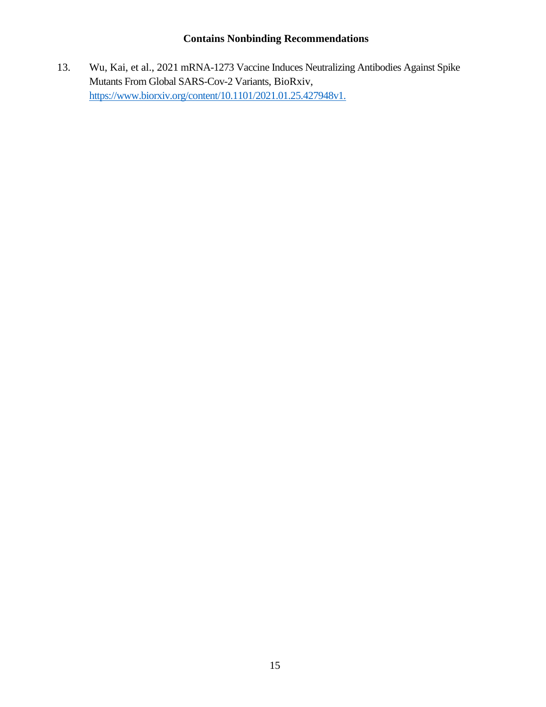13. Wu, Kai, et al., 2021 mRNA-1273 Vaccine Induces Neutralizing Antibodies Against Spike Mutants From Global SARS-Cov-2 Variants, BioRxiv, [https://www.biorxiv.org/content/10.1101/2021.01.25.427948v1.](https://www.biorxiv.org/content/10.1101/2021.01.25.427948v1)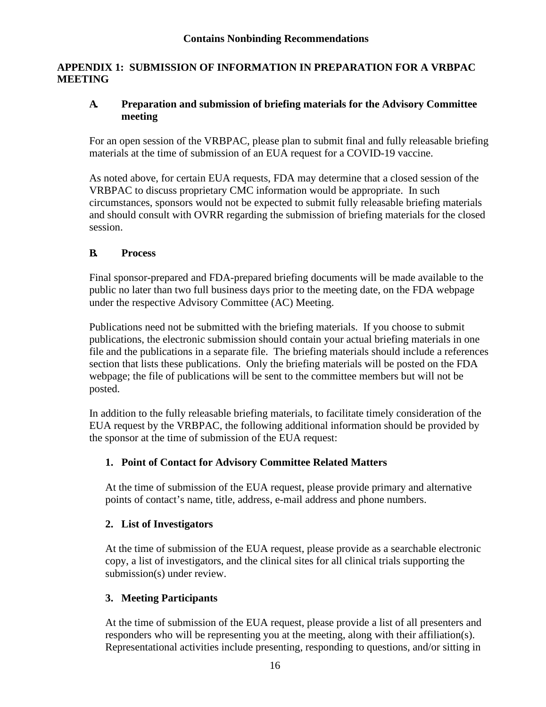#### <span id="page-18-0"></span>**APPENDIX 1: SUBMISSION OF INFORMATION IN PREPARATION FOR A VRBPAC MEETING**

#### <span id="page-18-1"></span>**A. Preparation and submission of briefing materials for the Advisory Committee meeting**

For an open session of the VRBPAC, please plan to submit final and fully releasable briefing materials at the time of submission of an EUA request for a COVID-19 vaccine.

As noted above, for certain EUA requests, FDA may determine that a closed session of the VRBPAC to discuss proprietary CMC information would be appropriate. In such circumstances, sponsors would not be expected to submit fully releasable briefing materials and should consult with OVRR regarding the submission of briefing materials for the closed session.

#### <span id="page-18-2"></span>**B. Process**

Final sponsor-prepared and FDA-prepared briefing documents will be made available to the public no later than two full business days prior to the meeting date, on the FDA webpage under the respective Advisory Committee (AC) Meeting.

Publications need not be submitted with the briefing materials. If you choose to submit publications, the electronic submission should contain your actual briefing materials in one file and the publications in a separate file. The briefing materials should include a references section that lists these publications. Only the briefing materials will be posted on the FDA webpage; the file of publications will be sent to the committee members but will not be posted.

In addition to the fully releasable briefing materials, to facilitate timely consideration of the EUA request by the VRBPAC, the following additional information should be provided by the sponsor at the time of submission of the EUA request:

#### **1. Point of Contact for Advisory Committee Related Matters**

At the time of submission of the EUA request, please provide primary and alternative points of contact's name, title, address, e-mail address and phone numbers.

#### **2. List of Investigators**

At the time of submission of the EUA request, please provide as a searchable electronic copy, a list of investigators, and the clinical sites for all clinical trials supporting the submission(s) under review.

#### **3. Meeting Participants**

At the time of submission of the EUA request, please provide a list of all presenters and responders who will be representing you at the meeting, along with their affiliation(s). Representational activities include presenting, responding to questions, and/or sitting in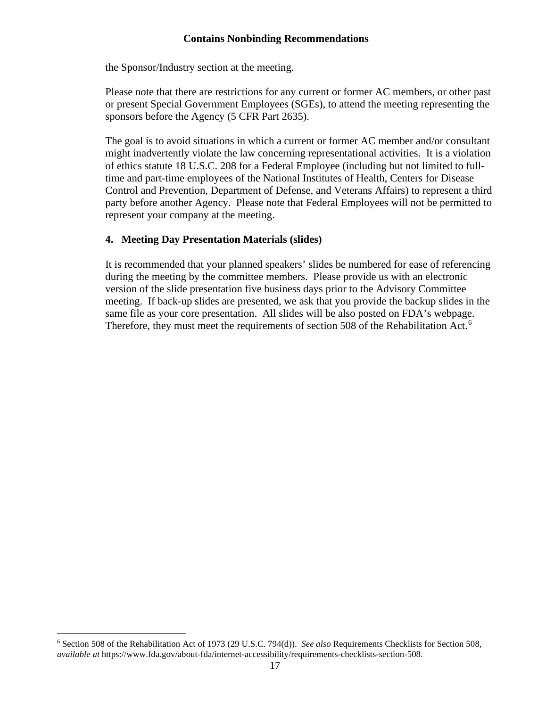the Sponsor/Industry section at the meeting.

Please note that there are restrictions for any current or former AC members, or other past or present Special Government Employees (SGEs), to attend the meeting representing the sponsors before the Agency (5 CFR Part 2635).

The goal is to avoid situations in which a current or former AC member and/or consultant might inadvertently violate the law concerning representational activities. It is a violation of ethics statute 18 U.S.C. 208 for a Federal Employee (including but not limited to fulltime and part-time employees of the National Institutes of Health, Centers for Disease Control and Prevention, Department of Defense, and Veterans Affairs) to represent a third party before another Agency. Please note that Federal Employees will not be permitted to represent your company at the meeting.

#### **4. Meeting Day Presentation Materials (slides)**

It is recommended that your planned speakers' slides be numbered for ease of referencing during the meeting by the committee members. Please provide us with an electronic version of the slide presentation five business days prior to the Advisory Committee meeting. If back-up slides are presented, we ask that you provide the backup slides in the same file as your core presentation. All slides will be also posted on FDA's webpage. Therefore, they must meet the requirements of section 508 of the Rehabilitation Act.<sup>[6](#page-19-0)</sup>

<span id="page-19-0"></span><sup>6</sup> Section 508 of the Rehabilitation Act of 1973 (29 U.S.C. 794(d)). *See also* Requirements Checklists for Section 508, *available at* https://www.fda.gov/about-fda/internet-accessibility/requirements-checklists-section-508.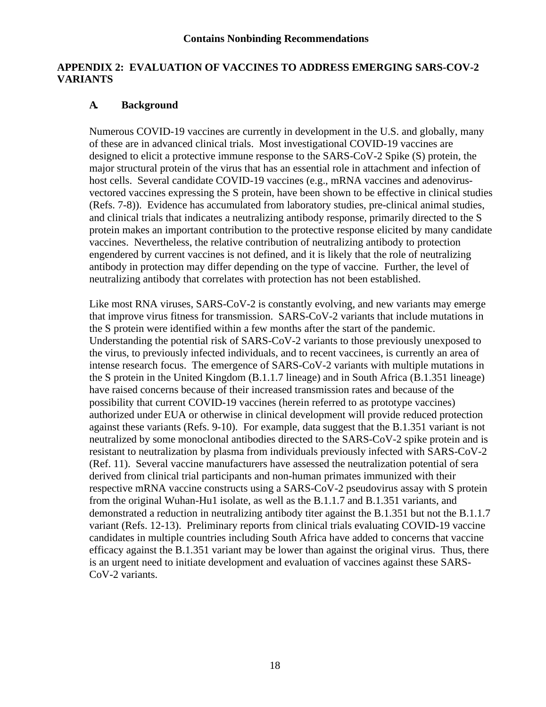#### <span id="page-20-0"></span>**APPENDIX 2: EVALUATION OF VACCINES TO ADDRESS EMERGING SARS-COV-2 VARIANTS**

#### <span id="page-20-1"></span>**A. Background**

Numerous COVID-19 vaccines are currently in development in the U.S. and globally, many of these are in advanced clinical trials. Most investigational COVID-19 vaccines are designed to elicit a protective immune response to the SARS-CoV-2 Spike (S) protein, the major structural protein of the virus that has an essential role in attachment and infection of host cells. Several candidate COVID-19 vaccines (e.g., mRNA vaccines and adenovirusvectored vaccines expressing the S protein, have been shown to be effective in clinical studies (Refs. 7-8)). Evidence has accumulated from laboratory studies, pre-clinical animal studies, and clinical trials that indicates a neutralizing antibody response, primarily directed to the S protein makes an important contribution to the protective response elicited by many candidate vaccines. Nevertheless, the relative contribution of neutralizing antibody to protection engendered by current vaccines is not defined, and it is likely that the role of neutralizing antibody in protection may differ depending on the type of vaccine. Further, the level of neutralizing antibody that correlates with protection has not been established.

Like most RNA viruses, SARS-CoV-2 is constantly evolving, and new variants may emerge that improve virus fitness for transmission. SARS-CoV-2 variants that include mutations in the S protein were identified within a few months after the start of the pandemic. Understanding the potential risk of SARS-CoV-2 variants to those previously unexposed to the virus, to previously infected individuals, and to recent vaccinees, is currently an area of intense research focus. The emergence of SARS-CoV-2 variants with multiple mutations in the S protein in the United Kingdom (B.1.1.7 lineage) and in South Africa (B.1.351 lineage) have raised concerns because of their increased transmission rates and because of the possibility that current COVID-19 vaccines (herein referred to as prototype vaccines) authorized under EUA or otherwise in clinical development will provide reduced protection against these variants (Refs. 9-10). For example, data suggest that the B.1.351 variant is not neutralized by some monoclonal antibodies directed to the SARS-CoV-2 spike protein and is resistant to neutralization by plasma from individuals previously infected with SARS-CoV-2 (Ref. 11). Several vaccine manufacturers have assessed the neutralization potential of sera derived from clinical trial participants and non-human primates immunized with their respective mRNA vaccine constructs using a SARS-CoV-2 pseudovirus assay with S protein from the original Wuhan-Hu1 isolate, as well as the B.1.1.7 and B.1.351 variants, and demonstrated a reduction in neutralizing antibody titer against the B.1.351 but not the B.1.1.7 variant (Refs. 12-13). Preliminary reports from clinical trials evaluating COVID-19 vaccine candidates in multiple countries including South Africa have added to concerns that vaccine efficacy against the B.1.351 variant may be lower than against the original virus. Thus, there is an urgent need to initiate development and evaluation of vaccines against these SARS-CoV-2 variants.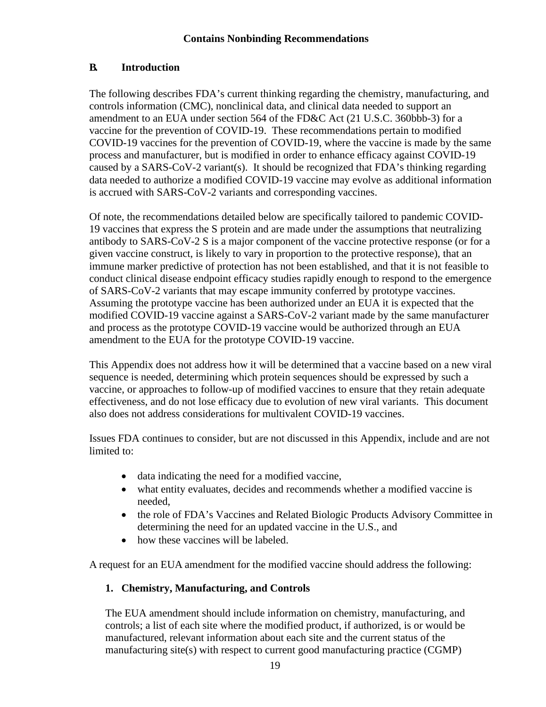#### <span id="page-21-0"></span>**B. Introduction**

The following describes FDA's current thinking regarding the chemistry, manufacturing, and controls information (CMC), nonclinical data, and clinical data needed to support an amendment to an EUA under section 564 of the FD&C Act (21 U.S.C. 360bbb-3) for a vaccine for the prevention of COVID-19. These recommendations pertain to modified COVID-19 vaccines for the prevention of COVID-19, where the vaccine is made by the same process and manufacturer, but is modified in order to enhance efficacy against COVID-19 caused by a SARS-CoV-2 variant(s). It should be recognized that FDA's thinking regarding data needed to authorize a modified COVID-19 vaccine may evolve as additional information is accrued with SARS-CoV-2 variants and corresponding vaccines.

Of note, the recommendations detailed below are specifically tailored to pandemic COVID-19 vaccines that express the S protein and are made under the assumptions that neutralizing antibody to SARS-CoV-2 S is a major component of the vaccine protective response (or for a given vaccine construct, is likely to vary in proportion to the protective response), that an immune marker predictive of protection has not been established, and that it is not feasible to conduct clinical disease endpoint efficacy studies rapidly enough to respond to the emergence of SARS-CoV-2 variants that may escape immunity conferred by prototype vaccines. Assuming the prototype vaccine has been authorized under an EUA it is expected that the modified COVID-19 vaccine against a SARS-CoV-2 variant made by the same manufacturer and process as the prototype COVID-19 vaccine would be authorized through an EUA amendment to the EUA for the prototype COVID-19 vaccine.

This Appendix does not address how it will be determined that a vaccine based on a new viral sequence is needed, determining which protein sequences should be expressed by such a vaccine, or approaches to follow-up of modified vaccines to ensure that they retain adequate effectiveness, and do not lose efficacy due to evolution of new viral variants. This document also does not address considerations for multivalent COVID-19 vaccines.

Issues FDA continues to consider, but are not discussed in this Appendix, include and are not limited to:

- data indicating the need for a modified vaccine,
- what entity evaluates, decides and recommends whether a modified vaccine is needed,
- the role of FDA's Vaccines and Related Biologic Products Advisory Committee in determining the need for an updated vaccine in the U.S., and
- how these vaccines will be labeled.

A request for an EUA amendment for the modified vaccine should address the following:

#### **1. Chemistry, Manufacturing, and Controls**

The EUA amendment should include information on chemistry, manufacturing, and controls; a list of each site where the modified product, if authorized, is or would be manufactured, relevant information about each site and the current status of the manufacturing site(s) with respect to current good manufacturing practice (CGMP)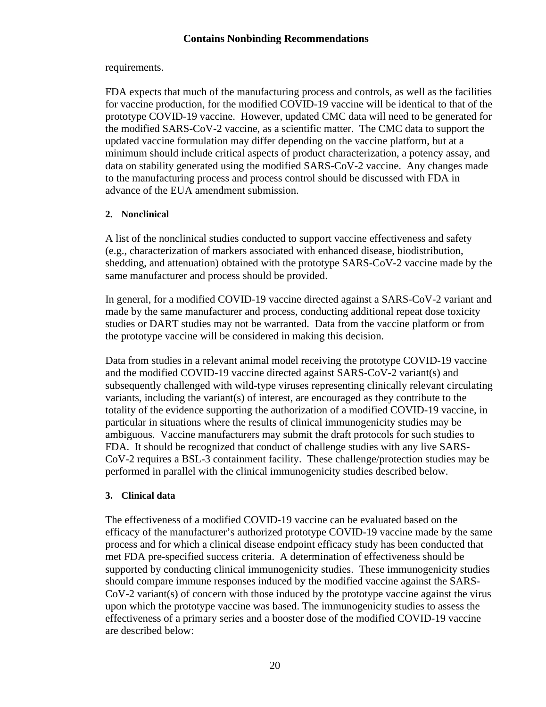#### requirements.

FDA expects that much of the manufacturing process and controls, as well as the facilities for vaccine production, for the modified COVID-19 vaccine will be identical to that of the prototype COVID-19 vaccine. However, updated CMC data will need to be generated for the modified SARS-CoV-2 vaccine, as a scientific matter. The CMC data to support the updated vaccine formulation may differ depending on the vaccine platform, but at a minimum should include critical aspects of product characterization, a potency assay, and data on stability generated using the modified SARS-CoV-2 vaccine. Any changes made to the manufacturing process and process control should be discussed with FDA in advance of the EUA amendment submission.

#### **2. Nonclinical**

A list of the nonclinical studies conducted to support vaccine effectiveness and safety (e.g., characterization of markers associated with enhanced disease, biodistribution, shedding, and attenuation) obtained with the prototype SARS-CoV-2 vaccine made by the same manufacturer and process should be provided.

In general, for a modified COVID-19 vaccine directed against a SARS-CoV-2 variant and made by the same manufacturer and process, conducting additional repeat dose toxicity studies or DART studies may not be warranted. Data from the vaccine platform or from the prototype vaccine will be considered in making this decision.

Data from studies in a relevant animal model receiving the prototype COVID-19 vaccine and the modified COVID-19 vaccine directed against SARS-CoV-2 variant(s) and subsequently challenged with wild-type viruses representing clinically relevant circulating variants, including the variant(s) of interest, are encouraged as they contribute to the totality of the evidence supporting the authorization of a modified COVID-19 vaccine, in particular in situations where the results of clinical immunogenicity studies may be ambiguous. Vaccine manufacturers may submit the draft protocols for such studies to FDA. It should be recognized that conduct of challenge studies with any live SARS-CoV-2 requires a BSL-3 containment facility. These challenge/protection studies may be performed in parallel with the clinical immunogenicity studies described below.

#### **3. Clinical data**

The effectiveness of a modified COVID-19 vaccine can be evaluated based on the efficacy of the manufacturer's authorized prototype COVID-19 vaccine made by the same process and for which a clinical disease endpoint efficacy study has been conducted that met FDA pre-specified success criteria. A determination of effectiveness should be supported by conducting clinical immunogenicity studies. These immunogenicity studies should compare immune responses induced by the modified vaccine against the SARS-CoV-2 variant(s) of concern with those induced by the prototype vaccine against the virus upon which the prototype vaccine was based. The immunogenicity studies to assess the effectiveness of a primary series and a booster dose of the modified COVID-19 vaccine are described below: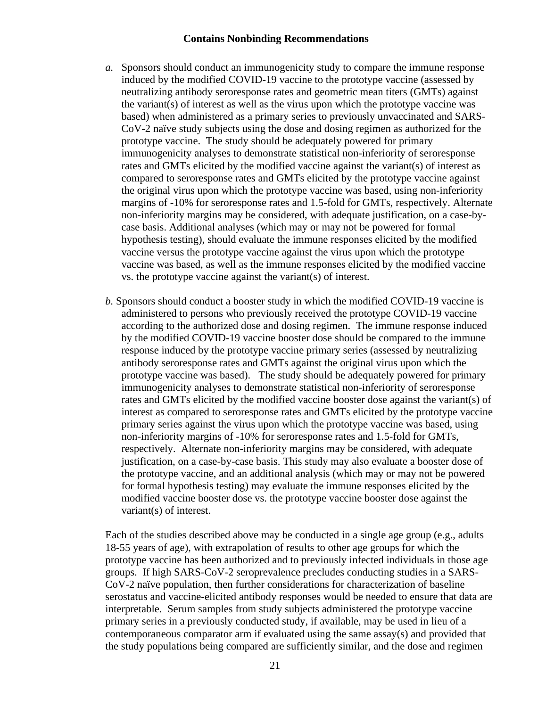- *a.* Sponsors should conduct an immunogenicity study to compare the immune response induced by the modified COVID-19 vaccine to the prototype vaccine (assessed by neutralizing antibody seroresponse rates and geometric mean titers (GMTs) against the variant(s) of interest as well as the virus upon which the prototype vaccine was based) when administered as a primary series to previously unvaccinated and SARS-CoV-2 naïve study subjects using the dose and dosing regimen as authorized for the prototype vaccine. The study should be adequately powered for primary immunogenicity analyses to demonstrate statistical non-inferiority of seroresponse rates and GMTs elicited by the modified vaccine against the variant(s) of interest as compared to seroresponse rates and GMTs elicited by the prototype vaccine against the original virus upon which the prototype vaccine was based, using non-inferiority margins of -10% for seroresponse rates and 1.5-fold for GMTs, respectively. Alternate non-inferiority margins may be considered, with adequate justification, on a case-bycase basis. Additional analyses (which may or may not be powered for formal hypothesis testing), should evaluate the immune responses elicited by the modified vaccine versus the prototype vaccine against the virus upon which the prototype vaccine was based, as well as the immune responses elicited by the modified vaccine vs. the prototype vaccine against the variant(s) of interest.
- *b.* Sponsors should conduct a booster study in which the modified COVID-19 vaccine is administered to persons who previously received the prototype COVID-19 vaccine according to the authorized dose and dosing regimen. The immune response induced by the modified COVID-19 vaccine booster dose should be compared to the immune response induced by the prototype vaccine primary series (assessed by neutralizing antibody seroresponse rates and GMTs against the original virus upon which the prototype vaccine was based). The study should be adequately powered for primary immunogenicity analyses to demonstrate statistical non-inferiority of seroresponse rates and GMTs elicited by the modified vaccine booster dose against the variant(s) of interest as compared to seroresponse rates and GMTs elicited by the prototype vaccine primary series against the virus upon which the prototype vaccine was based, using non-inferiority margins of -10% for seroresponse rates and 1.5-fold for GMTs, respectively. Alternate non-inferiority margins may be considered, with adequate justification, on a case-by-case basis. This study may also evaluate a booster dose of the prototype vaccine, and an additional analysis (which may or may not be powered for formal hypothesis testing) may evaluate the immune responses elicited by the modified vaccine booster dose vs. the prototype vaccine booster dose against the variant(s) of interest.

Each of the studies described above may be conducted in a single age group (e.g., adults 18-55 years of age), with extrapolation of results to other age groups for which the prototype vaccine has been authorized and to previously infected individuals in those age groups. If high SARS-CoV-2 seroprevalence precludes conducting studies in a SARS-CoV-2 naïve population, then further considerations for characterization of baseline serostatus and vaccine-elicited antibody responses would be needed to ensure that data are interpretable. Serum samples from study subjects administered the prototype vaccine primary series in a previously conducted study, if available, may be used in lieu of a contemporaneous comparator arm if evaluated using the same assay(s) and provided that the study populations being compared are sufficiently similar, and the dose and regimen